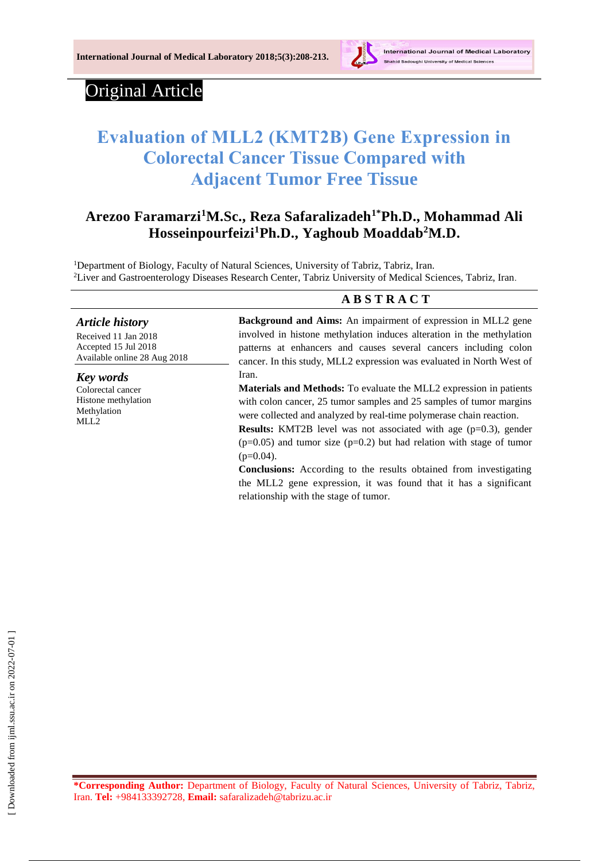

# Original Article

*Article history* Received 11 Jan 2018 Accepted 15 Jul 2018 Available online 28 Aug 2018

*Key words* Colorectal cancer Histone methylation Methylation MLL<sub>2</sub>

# **Evaluation of MLL2 (KMT2B) Gene Expression in Colorectal Cancer Tissue Compared with Adjacent Tumor Free Tissue**

# **Arezoo Faramarzi<sup>1</sup>M.Sc., Reza Safaralizadeh1\*Ph.D., Mohammad Ali Hosseinpourfeizi<sup>1</sup>Ph.D., Yaghoub Moaddab<sup>2</sup>M.D.**

<sup>1</sup>Department of Biology, Faculty of Natural Sciences, University of Tabriz, Tabriz, Iran. <sup>2</sup>Liver and Gastroenterology Diseases Research Center, Tabriz University of Medical Sciences, Tabriz, Iran.

## **A B S T R A C T**

**Background and Aims:** An impairment of expression in MLL2 gene involved in histone methylation induces alteration in the methylation patterns at enhancers and causes several cancers including colon cancer. In this study, MLL2 expression was evaluated in North West of Iran.

**Materials and Methods:** To evaluate the MLL2 expression in patients with colon cancer, 25 tumor samples and 25 samples of tumor margins were collected and analyzed by real-time polymerase chain reaction.

**Results:** KMT2B level was not associated with age (p=0.3), gender  $(p=0.05)$  and tumor size  $(p=0.2)$  but had relation with stage of tumor  $(p=0.04)$ .

**Conclusions:** According to the results obtained from investigating the MLL2 gene expression, it was found that it has a significant relationship with the stage of tumor.

**\*Corresponding Author:** Department of Biology, Faculty of Natural Sciences, University of Tabriz, Tabriz, Iran. **Tel:** +984133392728, **Email:** safaralizadeh@tabrizu.ac.ir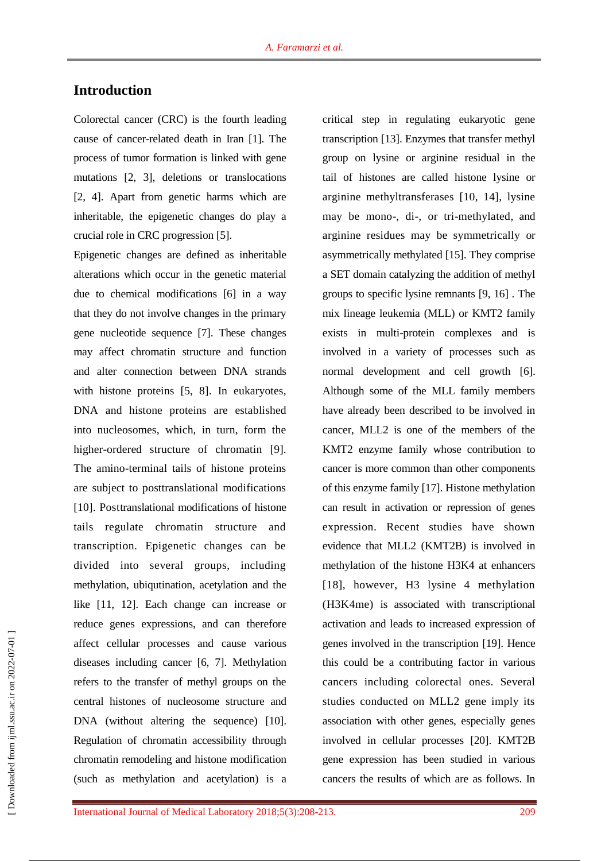# **Introduction**

Colorectal cancer (CRC) is the fourth leading cause of cancer-related death in Iran [1]. The process of tumor formation is linked with gene mutations [2, 3], deletions or translocations [2, 4]. Apart from genetic harms which are inheritable, the epigenetic changes do play a crucial role in CRC progression [5].

Epigenetic changes are defined as inheritable alterations which occur in the genetic material due to chemical modifications [6] in a way that they do not involve changes in the primary gene nucleotide sequence [7]. These changes may affect chromatin structure and function and alter connection between DNA strands with histone proteins [5, 8]. In eukaryotes, DNA and histone proteins are established into nucleosomes, which, in turn, form the higher-ordered structure of chromatin [9]. The amino-terminal tails of histone proteins are subject to posttranslational modifications [10]. Posttranslational modifications of histone tails regulate chromatin structure and transcription. Epigenetic changes can be divided into several groups, including methylation, ubiqutination, acetylation and the like [11, 12]. Each change can increase or reduce genes expressions, and can therefore affect cellular processes and cause various diseases including cancer [6, 7]. Methylation refers to the transfer of methyl groups on the central histones of nucleosome structure and DNA (without altering the sequence) [10]. Regulation of chromatin accessibility through chromatin remodeling and histone modification (such as methylation and acetylation) is a critical step in regulating eukaryotic gene transcription [13]. Enzymes that transfer methyl group on lysine or arginine residual in the tail of histones are called histone lysine or arginine methyltransferases [10, 14], lysine may be mono-, di-, or tri-methylated, and arginine residues may be symmetrically or asymmetrically methylated [15]. They comprise a SET domain catalyzing the addition of methyl groups to specific lysine remnants [9, 16] . The mix lineage leukemia (MLL) or KMT2 family exists in multi-protein complexes and is involved in a variety of processes such as normal development and cell growth [6]. Although some of the MLL family members have already been described to be involved in cancer, MLL2 is one of the members of the KMT2 enzyme family whose contribution to cancer is more common than other components of this enzyme family [17]. Histone methylation can result in activation or repression of genes expression. Recent studies have shown evidence that MLL2 (KMT2B) is involved in methylation of the histone H3K4 at enhancers [18], however, H3 lysine 4 methylation (H3K4me) is associated with transcriptional activation and leads to increased expression of genes involved in the transcription [19]. Hence this could be a contributing factor in various cancers including colorectal ones. Several studies conducted on MLL2 gene imply its association with other genes, especially genes involved in cellular processes [20]. KMT2B gene expression has been studied in various cancers the results of which are as follows. In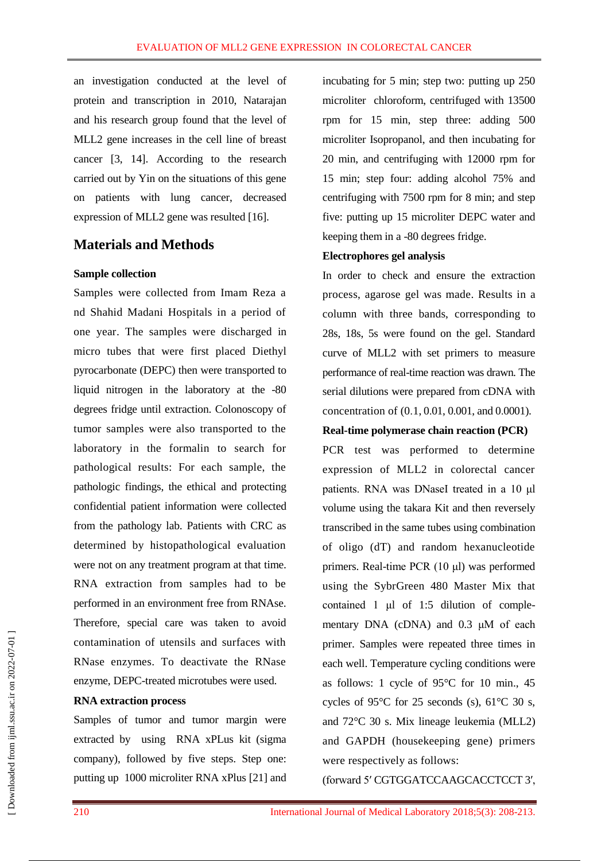an investigation conducted at the level of protein and transcription in 2010, Natarajan and his research group found that the level of MLL2 gene increases in the cell line of breast cancer [3, 14]. According to the research carried out by Yin on the situations of this gene on patients with lung cancer, decreased expression of MLL2 gene was resulted [16].

## **Materials and Methods**

#### **Sample collection**

Samples were collected from Imam Reza a nd Shahid Madani Hospitals in a period of one year. The samples were discharged in micro tubes that were first placed Diethyl pyrocarbonate (DEPC) then were transported to liquid nitrogen in the laboratory at the -80 degrees fridge until extraction. Colonoscopy of tumor samples were also transported to the laboratory in the formalin to search for pathological results: For each sample, the pathologic findings, the ethical and protecting confidential patient information were collected from the pathology lab. Patients with CRC as determined by histopathological evaluation were not on any treatment program at that time. RNA extraction from samples had to be performed in an environment free from RNAse. Therefore, special care was taken to avoid contamination of utensils and surfaces with RNase enzymes. To deactivate the RNase enzyme, DEPC-treated microtubes were used.

#### **RNA extraction process**

Samples of tumor and tumor margin were extracted by using RNA xPLus kit (sigma company), followed by five steps. Step one: putting up 1000 microliter RNA xPlus [21] and incubating for 5 min; step two: putting up 250 microliter chloroform, centrifuged with 13500 rpm for 15 min, step three: adding 500 microliter Isopropanol, and then incubating for 20 min, and centrifuging with 12000 rpm for 15 min; step four: adding alcohol 75% and centrifuging with 7500 rpm for 8 min; and step five: putting up 15 microliter DEPC water and keeping them in a -80 degrees fridge.

#### **Electrophores gel analysis**

In order to check and ensure the extraction process, agarose gel was made. Results in a column with three bands, corresponding to 28s, 18s, 5s were found on the gel. Standard curve of MLL2 with set primers to measure performance of real-time reaction was drawn. The serial dilutions were prepared from cDNA with concentration of (0.1, 0.01, 0.001, and 0.0001).

#### **Real-time polymerase chain reaction (PCR)**

PCR test was performed to determine expression of MLL2 in colorectal cancer patients. RNA was DNaseI treated in a 10 μl volume using the takara Kit and then reversely transcribed in the same tubes using combination of oligo (dT) and random hexanucleotide primers. Real-time PCR (10 μl) was performed using the SybrGreen 480 Master Mix that contained 1 μl of 1:5 dilution of complementary DNA (cDNA) and 0.3 μM of each primer. Samples were repeated three times in each well. Temperature cycling conditions were as follows: 1 cycle of 95°C for 10 min., 45 cycles of 95 $\degree$ C for 25 seconds (s), 61 $\degree$ C 30 s, and 72°C 30 s. Mix lineage leukemia (MLL2) and GAPDH (housekeeping gene) primers were respectively as follows:

(forward 5′ CGTGGATCCAAGCACCTCCT 3′,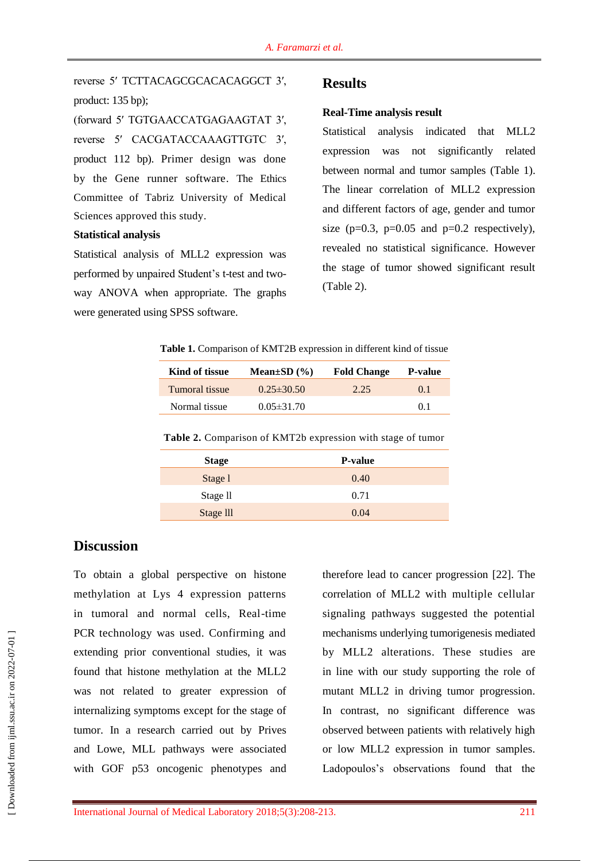reverse 5′ TCTTACAGCGCACACAGGCT 3′, product: 135 bp);

(forward 5′ TGTGAACCATGAGAAGTAT 3′, reverse 5′ CACGATACCAAAGTTGTC 3′, product 112 bp). Primer design was done by the Gene runner software. The Ethics Committee of Tabriz University of Medical Sciences approved this study.

#### **Statistical analysis**

Statistical analysis of MLL2 expression was performed by unpaired Student's t-test and twoway ANOVA when appropriate. The graphs were generated using SPSS software.

#### **Results**

#### **Real-Time analysis result**

Statistical analysis indicated that MLL2 expression was not significantly related between normal and tumor samples (Table 1). The linear correlation of MLL2 expression and different factors of age, gender and tumor size ( $p=0.3$ ,  $p=0.05$  and  $p=0.2$  respectively), revealed no statistical significance. However the stage of tumor showed significant result (Table 2).

**Table 1.** Comparison of KMT2B expression in different kind of tissue

| Kind of tissue | Mean $\pm SD(%)$ | <b>Fold Change</b> | <b>P-value</b> |
|----------------|------------------|--------------------|----------------|
| Tumoral tissue | $0.25 \pm 30.50$ | 2.25               | $()$ 1         |
| Normal tissue  | $0.05 \pm 31.70$ |                    | 0 <sub>1</sub> |

**Table 2.** Comparison of KMT2b expression with stage of tumor

| <b>Stage</b>        | <b>P-value</b> |  |
|---------------------|----------------|--|
| Stage 1             | 0.40           |  |
| Stage <sub>II</sub> | 0.71           |  |
| Stage III           | 0.04           |  |

## **Discussion**

To obtain a global perspective on histone methylation at Lys 4 expression patterns in tumoral and normal cells, Real-time PCR technology was used. Confirming and extending prior conventional studies, it was found that histone methylation at the MLL2 was not related to greater expression of internalizing symptoms except for the stage of tumor. In a research carried out by Prives and Lowe, MLL pathways were associated with GOF p53 oncogenic phenotypes and

therefore lead to cancer progression [22]. The correlation of MLL2 with multiple cellular signaling pathways suggested the potential mechanisms underlying tumorigenesis mediated by MLL2 alterations. These studies are in line with our study supporting the role of mutant MLL2 in driving tumor progression. In contrast, no significant difference was observed between patients with relatively high or low MLL2 expression in tumor samples. Ladopoulos's observations found that the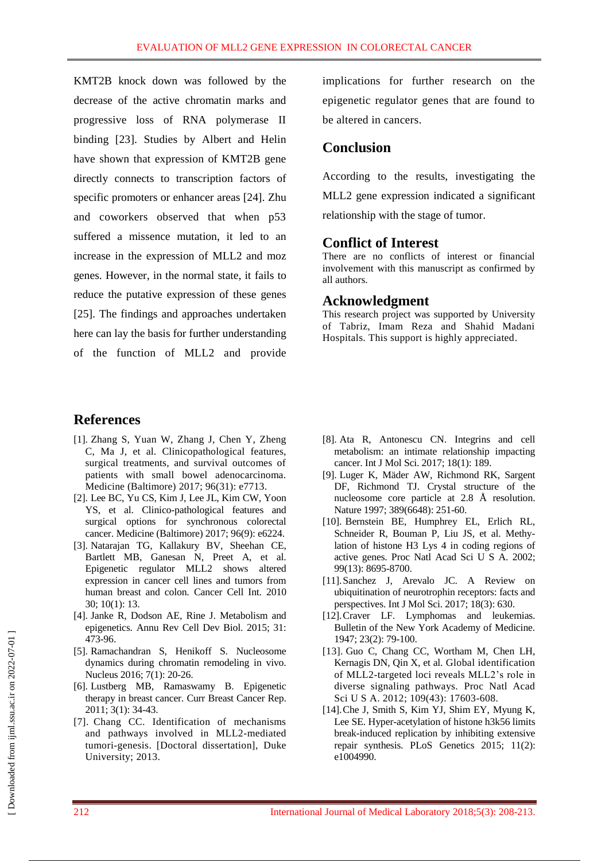KMT2B knock down was followed by the decrease of the active chromatin marks and progressive loss of RNA polymerase II binding [23]. Studies by Albert and Helin have shown that expression of KMT2B gene directly connects to transcription factors of specific promoters or enhancer areas [24]. Zhu and coworkers observed that when p53 suffered a missence mutation, it led to an increase in the expression of MLL2 and moz genes. However, in the normal state, it fails to reduce the putative expression of these genes [25]. The findings and approaches undertaken here can lay the basis for further understanding of the function of MLL2 and provide

# **References**

- [1]. [Zhang S,](https://www.ncbi.nlm.nih.gov/pubmed/?term=Zhang%20S%5BAuthor%5D&cauthor=true&cauthor_uid=28767610) [Yuan W,](https://www.ncbi.nlm.nih.gov/pubmed/?term=Yuan%20W%5BAuthor%5D&cauthor=true&cauthor_uid=28767610) [Zhang J,](https://www.ncbi.nlm.nih.gov/pubmed/?term=Zhang%20J%5BAuthor%5D&cauthor=true&cauthor_uid=28767610) [Chen Y,](https://www.ncbi.nlm.nih.gov/pubmed/?term=Chen%20Y%5BAuthor%5D&cauthor=true&cauthor_uid=28767610) [Zheng](https://www.ncbi.nlm.nih.gov/pubmed/?term=Zheng%20C%5BAuthor%5D&cauthor=true&cauthor_uid=28767610)  [C,](https://www.ncbi.nlm.nih.gov/pubmed/?term=Zheng%20C%5BAuthor%5D&cauthor=true&cauthor_uid=28767610) [Ma J,](https://www.ncbi.nlm.nih.gov/pubmed/?term=Ma%20J%5BAuthor%5D&cauthor=true&cauthor_uid=28767610) et al. Clinicopathological features, surgical treatments, and survival outcomes of patients with small bowel adenocarcinoma. [Medicine \(Baltimore\)](https://www.ncbi.nlm.nih.gov/pubmed/28767610) 2017; 96(31): e7713.
- [2]. Lee BC, Yu CS, Kim J, Lee JL, Kim CW, Yoon YS, et al. Clinico-pathological features and surgical options for synchronous colorectal cancer[. Medicine \(Baltimore\)](https://www.ncbi.nlm.nih.gov/pubmed/28767610) 2017; 96(9): e6224.
- [3]. Natarajan TG, Kallakury BV, Sheehan CE, Bartlett MB, Ganesan N, Preet A, et al. Epigenetic regulator MLL2 shows altered expression in cancer cell lines and tumors from human breast and colon. Cancer Cell Int. 2010 30; 10(1): 13.
- [4]. Janke R, Dodson AE, Rine J. Metabolism and epigenetics. [Annu Rev Cell Dev Biol.](https://www.ncbi.nlm.nih.gov/pubmed/26359776) 2015; 31: 473-96.
- [5]. Ramachandran S, Henikoff S. Nucleosome dynamics during chromatin remodeling in vivo. Nucleus 2016; 7(1): 20-26.
- [6]. Lustberg MB, Ramaswamy B. Epigenetic therapy in breast cancer. Curr Breast Cancer Rep. 2011; 3(1): 34-43.
- [7]. Chang CC. Identification of mechanisms and pathways involved in MLL2-mediated tumori-genesis. [Doctoral dissertation], Duke University; 2013.

implications for further research on the epigenetic regulator genes that are found to be altered in cancers.

# **Conclusion**

According to the results, investigating the MLL2 gene expression indicated a significant relationship with the stage of tumor.

### **Conflict of Interest**

There are no conflicts of interest or financial involvement with this manuscript as confirmed by all authors.

### **Acknowledgment**

This research project was supported by University of Tabriz, Imam Reza and Shahid Madani Hospitals. This support is highly appreciated.

- [8]. Ata R, Antonescu CN. Integrins and cell metabolism: an intimate relationship impacting cancer. Int J Mol Sci. 2017; 18(1): 189.
- [9]. Luger K, Mäder AW, Richmond RK, Sargent DF, Richmond TJ. Crystal structure of the nucleosome core particle at 2.8 Å resolution. Nature 1997; 389(6648): 251-60.
- [10]. Bernstein BE, Humphrey EL, Erlich RL, Schneider R, Bouman P, Liu JS, et al. Methylation of histone H3 Lys 4 in coding regions of active genes. Proc Natl Acad Sci U S A. 2002; 99(13): 8695-8700.
- [11].Sanchez J, Arevalo JC. A Review on ubiquitination of neurotrophin receptors: facts and perspectives. Int J Mol Sci. 2017; 18(3): 630.
- [12]. Craver LF. Lymphomas and leukemias. Bulletin of the New York Academy of Medicine. 1947; 23(2): 79-100.
- [13]. [Guo C,](https://www.ncbi.nlm.nih.gov/pubmed/?term=Guo%20C%5BAuthor%5D&cauthor=true&cauthor_uid=23045699) [Chang CC,](https://www.ncbi.nlm.nih.gov/pubmed/?term=Chang%20CC%5BAuthor%5D&cauthor=true&cauthor_uid=23045699) [Wortham M,](https://www.ncbi.nlm.nih.gov/pubmed/?term=Wortham%20M%5BAuthor%5D&cauthor=true&cauthor_uid=23045699) [Chen LH,](https://www.ncbi.nlm.nih.gov/pubmed/?term=Chen%20LH%5BAuthor%5D&cauthor=true&cauthor_uid=23045699) [Kernagis DN,](https://www.ncbi.nlm.nih.gov/pubmed/?term=Kernagis%20DN%5BAuthor%5D&cauthor=true&cauthor_uid=23045699) [Qin X,](https://www.ncbi.nlm.nih.gov/pubmed/?term=Qin%20X%5BAuthor%5D&cauthor=true&cauthor_uid=23045699) et al. Global identification of MLL2-targeted loci reveals MLL2's role in diverse signaling pathways. Proc Natl Acad Sci U S A. 2012; 109(43): 17603-608.
- [14].Che J, Smith S, Kim YJ, Shim EY, Myung K, Lee SE. Hyper-acetylation of histone h3k56 limits break-induced replication by inhibiting extensive repair synthesis. PLoS Genetics 2015; 11(2): e1004990.